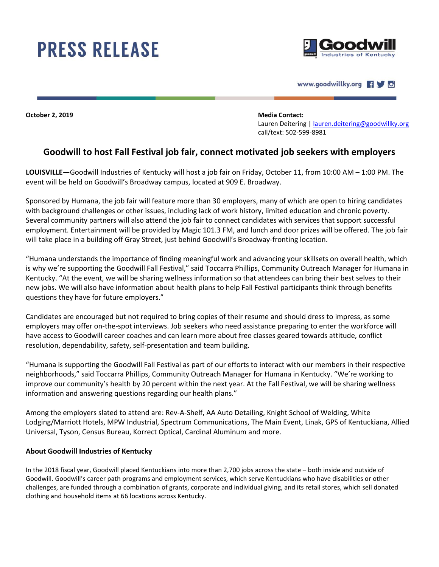## **PRESS RELEASE**





**October 2, 2019 Media Contact:**

Lauren Deitering | [lauren.deitering@goodwillky.org](mailto:lauren.deitering@goodwillky.org) call/text: 502-599-8981

## **Goodwill to host Fall Festival job fair, connect motivated job seekers with employers**

**LOUISVILLE—**Goodwill Industries of Kentucky will host a job fair on Friday, October 11, from 10:00 AM – 1:00 PM. The event will be held on Goodwill's Broadway campus, located at 909 E. Broadway.

Sponsored by Humana, the job fair will feature more than 30 employers, many of which are open to hiring candidates with background challenges or other issues, including lack of work history, limited education and chronic poverty. Several community partners will also attend the job fair to connect candidates with services that support successful employment. Entertainment will be provided by Magic 101.3 FM, and lunch and door prizes will be offered. The job fair will take place in a building off Gray Street, just behind Goodwill's Broadway-fronting location.

"Humana understands the importance of finding meaningful work and advancing your skillsets on overall health, which is why we're supporting the Goodwill Fall Festival," said Toccarra Phillips, Community Outreach Manager for Humana in Kentucky. "At the event, we will be sharing wellness information so that attendees can bring their best selves to their new jobs. We will also have information about health plans to help Fall Festival participants think through benefits questions they have for future employers."

Candidates are encouraged but not required to bring copies of their resume and should dress to impress, as some employers may offer on-the-spot interviews. Job seekers who need assistance preparing to enter the workforce will have access to Goodwill career coaches and can learn more about free classes geared towards attitude, conflict resolution, dependability, safety, self-presentation and team building.

"Humana is supporting the Goodwill Fall Festival as part of our efforts to interact with our members in their respective neighborhoods," said Toccarra Phillips, Community Outreach Manager for Humana in Kentucky. "We're working to improve our community's health by 20 percent within the next year. At the Fall Festival, we will be sharing wellness information and answering questions regarding our health plans."

Among the employers slated to attend are: Rev-A-Shelf, AA Auto Detailing, Knight School of Welding, White Lodging/Marriott Hotels, MPW Industrial, Spectrum Communications, The Main Event, Linak, GPS of Kentuckiana, Allied Universal, Tyson, Census Bureau, Korrect Optical, Cardinal Aluminum and more.

## **About Goodwill Industries of Kentucky**

In the 2018 fiscal year, Goodwill placed Kentuckians into more than 2,700 jobs across the state – both inside and outside of Goodwill. Goodwill's career path programs and employment services, which serve Kentuckians who have disabilities or other challenges, are funded through a combination of grants, corporate and individual giving, and its retail stores, which sell donated clothing and household items at 66 locations across Kentucky.